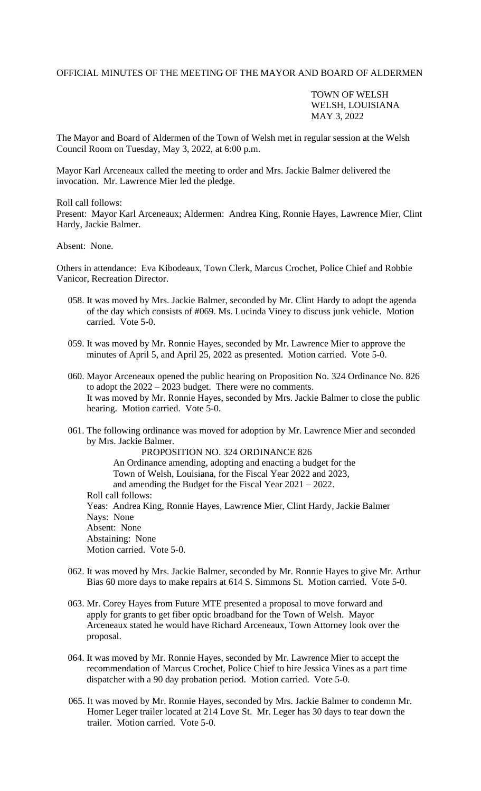## OFFICIAL MINUTES OF THE MEETING OF THE MAYOR AND BOARD OF ALDERMEN

## TOWN OF WELSH WELSH, LOUISIANA MAY 3, 2022

The Mayor and Board of Aldermen of the Town of Welsh met in regular session at the Welsh Council Room on Tuesday, May 3, 2022, at 6:00 p.m.

Mayor Karl Arceneaux called the meeting to order and Mrs. Jackie Balmer delivered the invocation. Mr. Lawrence Mier led the pledge.

Roll call follows:

Present: Mayor Karl Arceneaux; Aldermen: Andrea King, Ronnie Hayes, Lawrence Mier, Clint Hardy, Jackie Balmer.

Absent: None.

Others in attendance: Eva Kibodeaux, Town Clerk, Marcus Crochet, Police Chief and Robbie Vanicor, Recreation Director.

- 058. It was moved by Mrs. Jackie Balmer, seconded by Mr. Clint Hardy to adopt the agenda of the day which consists of #069. Ms. Lucinda Viney to discuss junk vehicle. Motion carried. Vote 5-0.
- 059. It was moved by Mr. Ronnie Hayes, seconded by Mr. Lawrence Mier to approve the minutes of April 5, and April 25, 2022 as presented. Motion carried. Vote 5-0.
- 060. Mayor Arceneaux opened the public hearing on Proposition No. 324 Ordinance No. 826 to adopt the 2022 – 2023 budget. There were no comments. It was moved by Mr. Ronnie Hayes, seconded by Mrs. Jackie Balmer to close the public hearing. Motion carried. Vote 5-0.
- 061. The following ordinance was moved for adoption by Mr. Lawrence Mier and seconded by Mrs. Jackie Balmer.

PROPOSITION NO. 324 ORDINANCE 826 An Ordinance amending, adopting and enacting a budget for the Town of Welsh, Louisiana, for the Fiscal Year 2022 and 2023, and amending the Budget for the Fiscal Year 2021 – 2022. Roll call follows: Yeas: Andrea King, Ronnie Hayes, Lawrence Mier, Clint Hardy, Jackie Balmer Nays: None Absent: None Abstaining: None Motion carried. Vote 5-0.

- 062. It was moved by Mrs. Jackie Balmer, seconded by Mr. Ronnie Hayes to give Mr. Arthur Bias 60 more days to make repairs at 614 S. Simmons St. Motion carried. Vote 5-0.
- 063. Mr. Corey Hayes from Future MTE presented a proposal to move forward and apply for grants to get fiber optic broadband for the Town of Welsh. Mayor Arceneaux stated he would have Richard Arceneaux, Town Attorney look over the proposal.
- 064. It was moved by Mr. Ronnie Hayes, seconded by Mr. Lawrence Mier to accept the recommendation of Marcus Crochet, Police Chief to hire Jessica Vines as a part time dispatcher with a 90 day probation period. Motion carried. Vote 5-0.
- 065. It was moved by Mr. Ronnie Hayes, seconded by Mrs. Jackie Balmer to condemn Mr. Homer Leger trailer located at 214 Love St. Mr. Leger has 30 days to tear down the trailer. Motion carried. Vote 5-0.